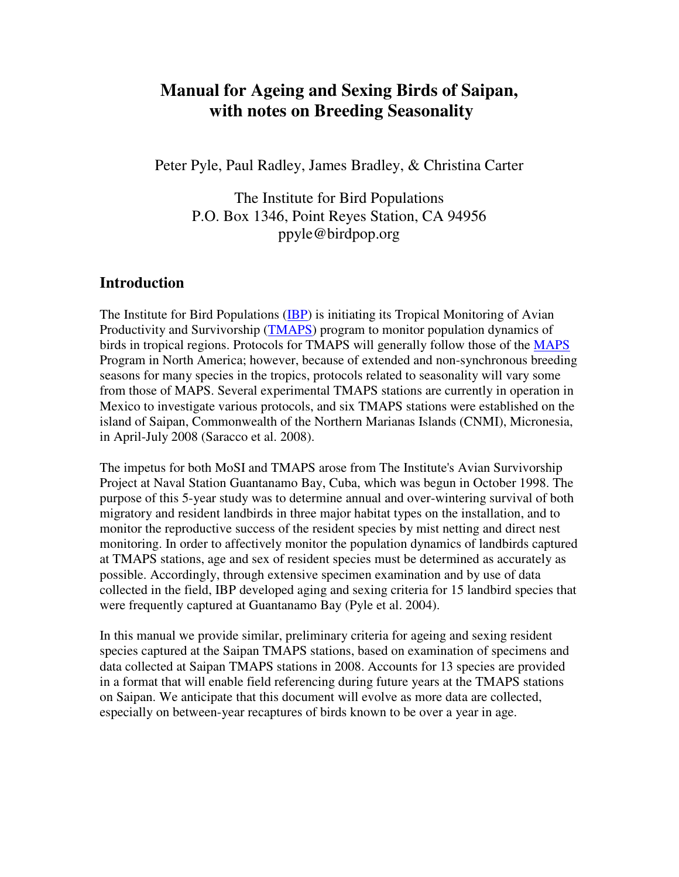# **Manual for Ageing and Sexing Birds of Saipan, with notes on Breeding Seasonality**

Peter Pyle, Paul Radley, James Bradley, & Christina Carter

The Institute for Bird Populations P.O. Box 1346, Point Reyes Station, CA 94956 ppyle@birdpop.org

### **Introduction**

The Institute for Bird Populations (IBP) is initiating its Tropical Monitoring of Avian Productivity and Survivorship (TMAPS) program to monitor population dynamics of birds in tropical regions. Protocols for TMAPS will generally follow those of the MAPS Program in North America; however, because of extended and non-synchronous breeding seasons for many species in the tropics, protocols related to seasonality will vary some from those of MAPS. Several experimental TMAPS stations are currently in operation in Mexico to investigate various protocols, and six TMAPS stations were established on the island of Saipan, Commonwealth of the Northern Marianas Islands (CNMI), Micronesia, in April-July 2008 (Saracco et al. 2008).

The impetus for both MoSI and TMAPS arose from The Institute's Avian Survivorship Project at Naval Station Guantanamo Bay, Cuba, which was begun in October 1998. The purpose of this 5-year study was to determine annual and over-wintering survival of both migratory and resident landbirds in three major habitat types on the installation, and to monitor the reproductive success of the resident species by mist netting and direct nest monitoring. In order to affectively monitor the population dynamics of landbirds captured at TMAPS stations, age and sex of resident species must be determined as accurately as possible. Accordingly, through extensive specimen examination and by use of data collected in the field, IBP developed aging and sexing criteria for 15 landbird species that were frequently captured at Guantanamo Bay (Pyle et al. 2004).

In this manual we provide similar, preliminary criteria for ageing and sexing resident species captured at the Saipan TMAPS stations, based on examination of specimens and data collected at Saipan TMAPS stations in 2008. Accounts for 13 species are provided in a format that will enable field referencing during future years at the TMAPS stations on Saipan. We anticipate that this document will evolve as more data are collected, especially on between-year recaptures of birds known to be over a year in age.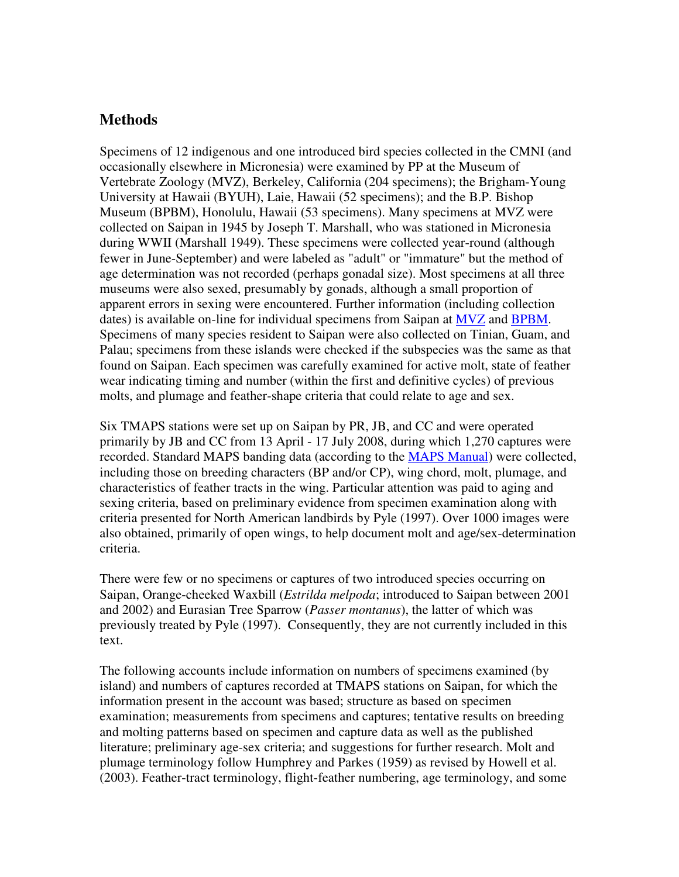### **Methods**

Specimens of 12 indigenous and one introduced bird species collected in the CMNI (and occasionally elsewhere in Micronesia) were examined by PP at the Museum of Vertebrate Zoology (MVZ), Berkeley, California (204 specimens); the Brigham-Young University at Hawaii (BYUH), Laie, Hawaii (52 specimens); and the B.P. Bishop Museum (BPBM), Honolulu, Hawaii (53 specimens). Many specimens at MVZ were collected on Saipan in 1945 by Joseph T. Marshall, who was stationed in Micronesia during WWII (Marshall 1949). These specimens were collected year-round (although fewer in June-September) and were labeled as "adult" or "immature" but the method of age determination was not recorded (perhaps gonadal size). Most specimens at all three museums were also sexed, presumably by gonads, although a small proportion of apparent errors in sexing were encountered. Further information (including collection dates) is available on-line for individual specimens from Saipan at MVZ and BPBM. Specimens of many species resident to Saipan were also collected on Tinian, Guam, and Palau; specimens from these islands were checked if the subspecies was the same as that found on Saipan. Each specimen was carefully examined for active molt, state of feather wear indicating timing and number (within the first and definitive cycles) of previous molts, and plumage and feather-shape criteria that could relate to age and sex.

Six TMAPS stations were set up on Saipan by PR, JB, and CC and were operated primarily by JB and CC from 13 April - 17 July 2008, during which 1,270 captures were recorded. Standard MAPS banding data (according to the MAPS Manual) were collected, including those on breeding characters (BP and/or CP), wing chord, molt, plumage, and characteristics of feather tracts in the wing. Particular attention was paid to aging and sexing criteria, based on preliminary evidence from specimen examination along with criteria presented for North American landbirds by Pyle (1997). Over 1000 images were also obtained, primarily of open wings, to help document molt and age/sex-determination criteria.

There were few or no specimens or captures of two introduced species occurring on Saipan, Orange-cheeked Waxbill (*Estrilda melpoda*; introduced to Saipan between 2001 and 2002) and Eurasian Tree Sparrow (*Passer montanus*), the latter of which was previously treated by Pyle (1997). Consequently, they are not currently included in this text.

The following accounts include information on numbers of specimens examined (by island) and numbers of captures recorded at TMAPS stations on Saipan, for which the information present in the account was based; structure as based on specimen examination; measurements from specimens and captures; tentative results on breeding and molting patterns based on specimen and capture data as well as the published literature; preliminary age-sex criteria; and suggestions for further research. Molt and plumage terminology follow Humphrey and Parkes (1959) as revised by Howell et al. (2003). Feather-tract terminology, flight-feather numbering, age terminology, and some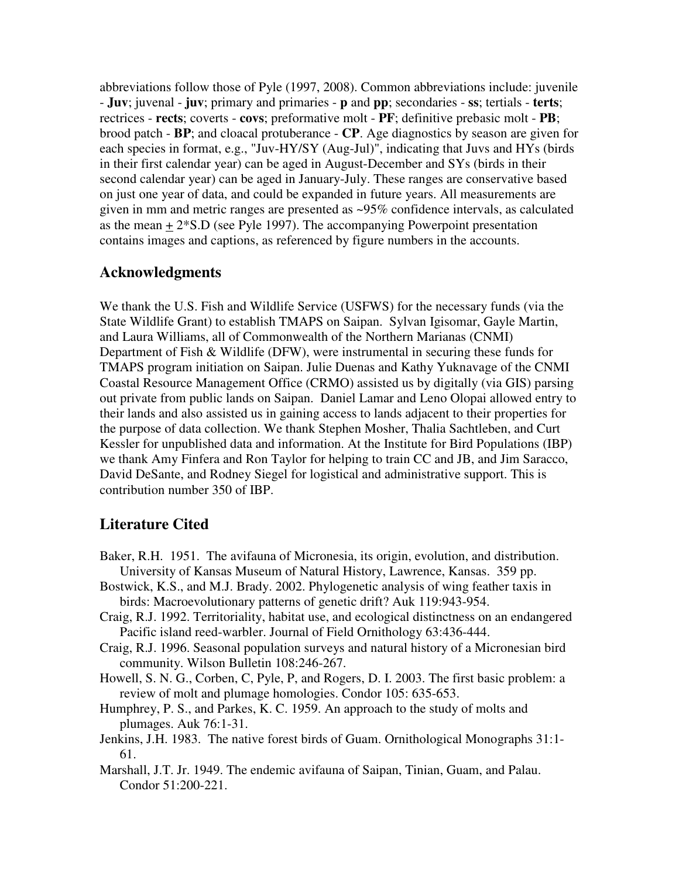abbreviations follow those of Pyle (1997, 2008). Common abbreviations include: juvenile - **Juv**; juvenal - **juv**; primary and primaries - **p** and **pp**; secondaries - **ss**; tertials - **terts**; rectrices - **rects**; coverts - **covs**; preformative molt - **PF**; definitive prebasic molt - **PB**; brood patch - **BP**; and cloacal protuberance - **CP**. Age diagnostics by season are given for each species in format, e.g., "Juv-HY/SY (Aug-Jul)", indicating that Juvs and HYs (birds in their first calendar year) can be aged in August-December and SYs (birds in their second calendar year) can be aged in January-July. These ranges are conservative based on just one year of data, and could be expanded in future years. All measurements are given in mm and metric ranges are presented as ~95% confidence intervals, as calculated as the mean  $\pm 2*$ S.D (see Pyle 1997). The accompanying Powerpoint presentation contains images and captions, as referenced by figure numbers in the accounts.

### **Acknowledgments**

We thank the U.S. Fish and Wildlife Service (USFWS) for the necessary funds (via the State Wildlife Grant) to establish TMAPS on Saipan. Sylvan Igisomar, Gayle Martin, and Laura Williams, all of Commonwealth of the Northern Marianas (CNMI) Department of Fish & Wildlife (DFW), were instrumental in securing these funds for TMAPS program initiation on Saipan. Julie Duenas and Kathy Yuknavage of the CNMI Coastal Resource Management Office (CRMO) assisted us by digitally (via GIS) parsing out private from public lands on Saipan. Daniel Lamar and Leno Olopai allowed entry to their lands and also assisted us in gaining access to lands adjacent to their properties for the purpose of data collection. We thank Stephen Mosher, Thalia Sachtleben, and Curt Kessler for unpublished data and information. At the Institute for Bird Populations (IBP) we thank Amy Finfera and Ron Taylor for helping to train CC and JB, and Jim Saracco, David DeSante, and Rodney Siegel for logistical and administrative support. This is contribution number 350 of IBP.

# **Literature Cited**

- Baker, R.H. 1951. The avifauna of Micronesia, its origin, evolution, and distribution. University of Kansas Museum of Natural History, Lawrence, Kansas. 359 pp.
- Bostwick, K.S., and M.J. Brady. 2002. Phylogenetic analysis of wing feather taxis in birds: Macroevolutionary patterns of genetic drift? Auk 119:943-954.
- Craig, R.J. 1992. Territoriality, habitat use, and ecological distinctness on an endangered Pacific island reed-warbler. Journal of Field Ornithology 63:436-444.
- Craig, R.J. 1996. Seasonal population surveys and natural history of a Micronesian bird community. Wilson Bulletin 108:246-267.
- Howell, S. N. G., Corben, C, Pyle, P, and Rogers, D. I. 2003. The first basic problem: a review of molt and plumage homologies. Condor 105: 635-653.
- Humphrey, P. S., and Parkes, K. C. 1959. An approach to the study of molts and plumages. Auk 76:1-31.
- Jenkins, J.H. 1983. The native forest birds of Guam. Ornithological Monographs 31:1- 61.
- Marshall, J.T. Jr. 1949. The endemic avifauna of Saipan, Tinian, Guam, and Palau. Condor 51:200-221.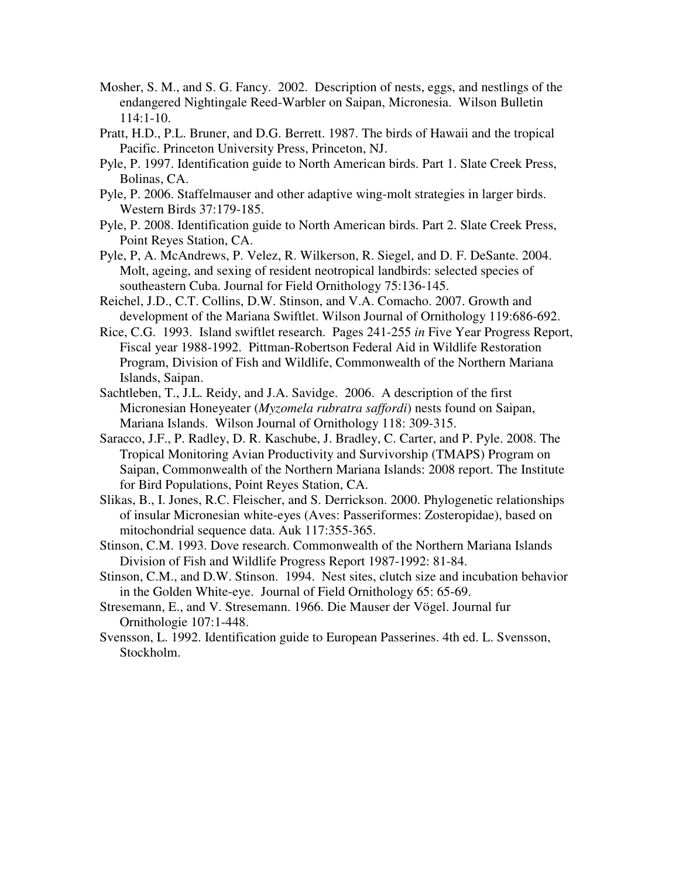- Mosher, S. M., and S. G. Fancy. 2002. Description of nests, eggs, and nestlings of the endangered Nightingale Reed-Warbler on Saipan, Micronesia. Wilson Bulletin  $114:1-10.$
- Pratt, H.D., P.L. Bruner, and D.G. Berrett. 1987. The birds of Hawaii and the tropical Pacific. Princeton University Press, Princeton, NJ.
- Pyle, P. 1997. Identification guide to North American birds. Part 1. Slate Creek Press, Bolinas, CA.
- Pyle, P. 2006. Staffelmauser and other adaptive wing-molt strategies in larger birds. Western Birds 37:179-185.
- Pyle, P. 2008. Identification guide to North American birds. Part 2. Slate Creek Press, Point Reyes Station, CA.
- Pyle, P, A. McAndrews, P. Velez, R. Wilkerson, R. Siegel, and D. F. DeSante. 2004. Molt, ageing, and sexing of resident neotropical landbirds: selected species of southeastern Cuba. Journal for Field Ornithology 75:136-145.
- Reichel, J.D., C.T. Collins, D.W. Stinson, and V.A. Comacho. 2007. Growth and development of the Mariana Swiftlet. Wilson Journal of Ornithology 119:686-692.
- Rice, C.G. 1993. Island swiftlet research. Pages 241-255 *in* Five Year Progress Report, Fiscal year 1988-1992. Pittman-Robertson Federal Aid in Wildlife Restoration Program, Division of Fish and Wildlife, Commonwealth of the Northern Mariana Islands, Saipan.
- Sachtleben, T., J.L. Reidy, and J.A. Savidge. 2006. A description of the first Micronesian Honeyeater (*Myzomela rubratra saffordi*) nests found on Saipan, Mariana Islands. Wilson Journal of Ornithology 118: 309-315.
- Saracco, J.F., P. Radley, D. R. Kaschube, J. Bradley, C. Carter, and P. Pyle. 2008. The Tropical Monitoring Avian Productivity and Survivorship (TMAPS) Program on Saipan, Commonwealth of the Northern Mariana Islands: 2008 report. The Institute for Bird Populations, Point Reyes Station, CA.
- Slikas, B., I. Jones, R.C. Fleischer, and S. Derrickson. 2000. Phylogenetic relationships of insular Micronesian white-eyes (Aves: Passeriformes: Zosteropidae), based on mitochondrial sequence data. Auk 117:355-365.
- Stinson, C.M. 1993. Dove research. Commonwealth of the Northern Mariana Islands Division of Fish and Wildlife Progress Report 1987-1992: 81-84.
- Stinson, C.M., and D.W. Stinson. 1994. Nest sites, clutch size and incubation behavior in the Golden White-eye. Journal of Field Ornithology 65: 65-69.
- Stresemann, E., and V. Stresemann. 1966. Die Mauser der Vögel. Journal fur Ornithologie 107:1-448.
- Svensson, L. 1992. Identification guide to European Passerines. 4th ed. L. Svensson, Stockholm.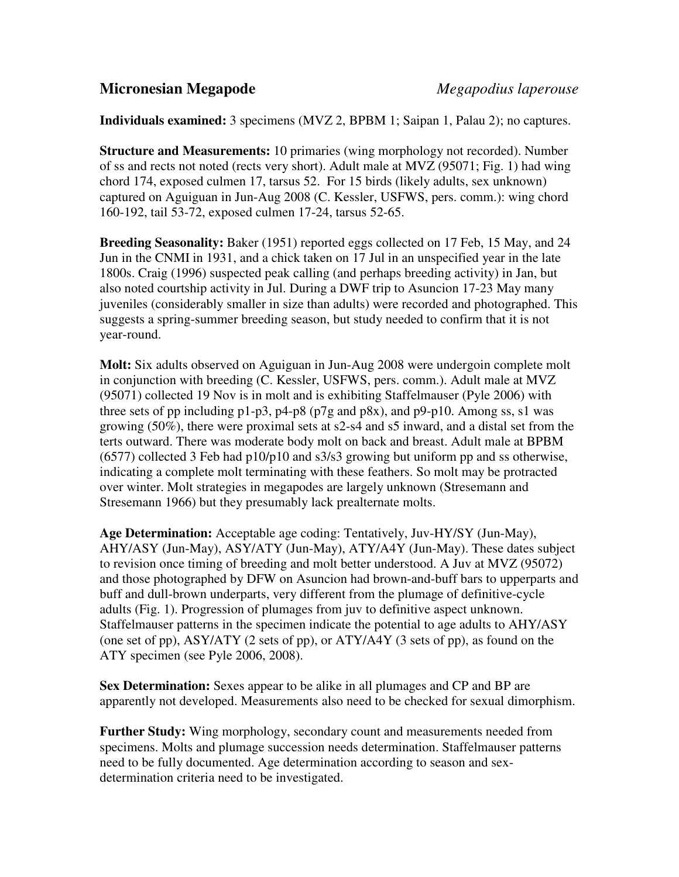## **Micronesian Megapode** *Megapodius laperouse*

**Individuals examined:** 3 specimens (MVZ 2, BPBM 1; Saipan 1, Palau 2); no captures.

**Structure and Measurements:** 10 primaries (wing morphology not recorded). Number of ss and rects not noted (rects very short). Adult male at MVZ (95071; Fig. 1) had wing chord 174, exposed culmen 17, tarsus 52. For 15 birds (likely adults, sex unknown) captured on Aguiguan in Jun-Aug 2008 (C. Kessler, USFWS, pers. comm.): wing chord 160-192, tail 53-72, exposed culmen 17-24, tarsus 52-65.

**Breeding Seasonality:** Baker (1951) reported eggs collected on 17 Feb, 15 May, and 24 Jun in the CNMI in 1931, and a chick taken on 17 Jul in an unspecified year in the late 1800s. Craig (1996) suspected peak calling (and perhaps breeding activity) in Jan, but also noted courtship activity in Jul. During a DWF trip to Asuncion 17-23 May many juveniles (considerably smaller in size than adults) were recorded and photographed. This suggests a spring-summer breeding season, but study needed to confirm that it is not year-round.

**Molt:** Six adults observed on Aguiguan in Jun-Aug 2008 were undergoin complete molt in conjunction with breeding (C. Kessler, USFWS, pers. comm.). Adult male at MVZ (95071) collected 19 Nov is in molt and is exhibiting Staffelmauser (Pyle 2006) with three sets of pp including  $p1-p3$ ,  $p4-p8$  ( $p7g$  and  $p8x$ ), and  $p9-p10$ . Among ss, s1 was growing (50%), there were proximal sets at s2-s4 and s5 inward, and a distal set from the terts outward. There was moderate body molt on back and breast. Adult male at BPBM (6577) collected 3 Feb had p10/p10 and s3/s3 growing but uniform pp and ss otherwise, indicating a complete molt terminating with these feathers. So molt may be protracted over winter. Molt strategies in megapodes are largely unknown (Stresemann and Stresemann 1966) but they presumably lack prealternate molts.

**Age Determination:** Acceptable age coding: Tentatively, Juv-HY/SY (Jun-May), AHY/ASY (Jun-May), ASY/ATY (Jun-May), ATY/A4Y (Jun-May). These dates subject to revision once timing of breeding and molt better understood. A Juv at MVZ (95072) and those photographed by DFW on Asuncion had brown-and-buff bars to upperparts and buff and dull-brown underparts, very different from the plumage of definitive-cycle adults (Fig. 1). Progression of plumages from juv to definitive aspect unknown. Staffelmauser patterns in the specimen indicate the potential to age adults to AHY/ASY (one set of pp), ASY/ATY (2 sets of pp), or ATY/A4Y (3 sets of pp), as found on the ATY specimen (see Pyle 2006, 2008).

**Sex Determination:** Sexes appear to be alike in all plumages and CP and BP are apparently not developed. Measurements also need to be checked for sexual dimorphism.

**Further Study:** Wing morphology, secondary count and measurements needed from specimens. Molts and plumage succession needs determination. Staffelmauser patterns need to be fully documented. Age determination according to season and sexdetermination criteria need to be investigated.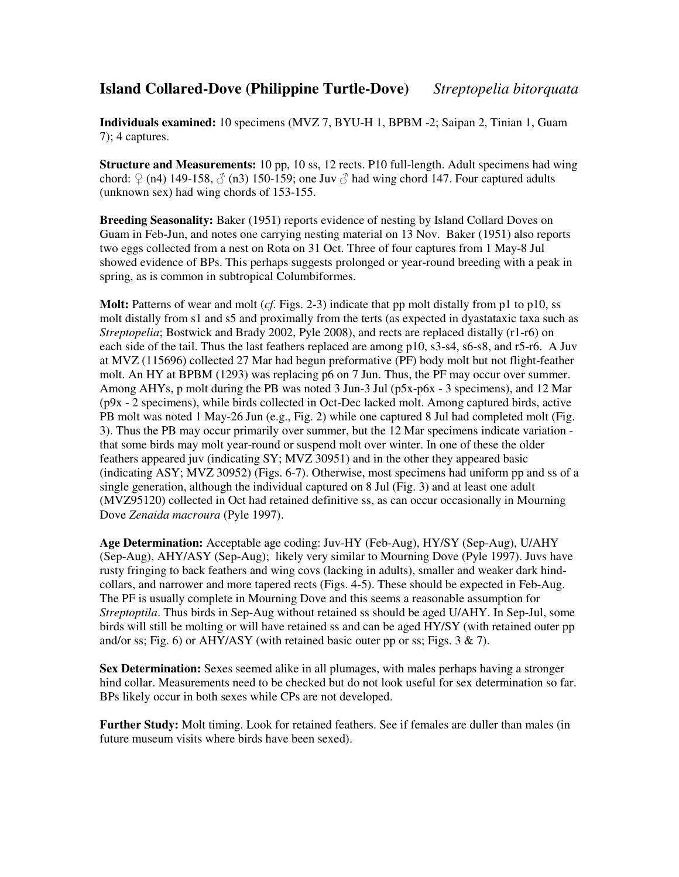## **Island Collared-Dove (Philippine Turtle-Dove)** *Streptopelia bitorquata*

**Individuals examined:** 10 specimens (MVZ 7, BYU-H 1, BPBM -2; Saipan 2, Tinian 1, Guam 7); 4 captures.

**Structure and Measurements:** 10 pp, 10 ss, 12 rects. P10 full-length. Adult specimens had wing chord:  $\Omega$  (n4) 149-158,  $\delta$  (n3) 150-159; one Juv  $\delta$  had wing chord 147. Four captured adults (unknown sex) had wing chords of 153-155.

**Breeding Seasonality:** Baker (1951) reports evidence of nesting by Island Collard Doves on Guam in Feb-Jun, and notes one carrying nesting material on 13 Nov. Baker (1951) also reports two eggs collected from a nest on Rota on 31 Oct. Three of four captures from 1 May-8 Jul showed evidence of BPs. This perhaps suggests prolonged or year-round breeding with a peak in spring, as is common in subtropical Columbiformes.

**Molt:** Patterns of wear and molt (*cf.* Figs. 2-3) indicate that pp molt distally from p1 to p10, ss molt distally from s1 and s5 and proximally from the terts (as expected in dyastataxic taxa such as *Streptopelia*; Bostwick and Brady 2002, Pyle 2008), and rects are replaced distally (r1-r6) on each side of the tail. Thus the last feathers replaced are among p10, s3-s4, s6-s8, and r5-r6. A Juv at MVZ (115696) collected 27 Mar had begun preformative (PF) body molt but not flight-feather molt. An HY at BPBM (1293) was replacing p6 on 7 Jun. Thus, the PF may occur over summer. Among AHYs, p molt during the PB was noted 3 Jun-3 Jul (p5x-p6x - 3 specimens), and 12 Mar (p9x - 2 specimens), while birds collected in Oct-Dec lacked molt. Among captured birds, active PB molt was noted 1 May-26 Jun (e.g., Fig. 2) while one captured 8 Jul had completed molt (Fig. 3). Thus the PB may occur primarily over summer, but the 12 Mar specimens indicate variation that some birds may molt year-round or suspend molt over winter. In one of these the older feathers appeared juv (indicating SY; MVZ 30951) and in the other they appeared basic (indicating ASY; MVZ 30952) (Figs. 6-7). Otherwise, most specimens had uniform pp and ss of a single generation, although the individual captured on 8 Jul (Fig. 3) and at least one adult (MVZ95120) collected in Oct had retained definitive ss, as can occur occasionally in Mourning Dove *Zenaida macroura* (Pyle 1997).

**Age Determination:** Acceptable age coding: Juv-HY (Feb-Aug), HY/SY (Sep-Aug), U/AHY (Sep-Aug), AHY/ASY (Sep-Aug); likely very similar to Mourning Dove (Pyle 1997). Juvs have rusty fringing to back feathers and wing covs (lacking in adults), smaller and weaker dark hindcollars, and narrower and more tapered rects (Figs. 4-5). These should be expected in Feb-Aug. The PF is usually complete in Mourning Dove and this seems a reasonable assumption for *Streptoptila*. Thus birds in Sep-Aug without retained ss should be aged U/AHY. In Sep-Jul, some birds will still be molting or will have retained ss and can be aged HY/SY (with retained outer pp and/or ss; Fig. 6) or AHY/ASY (with retained basic outer pp or ss; Figs. 3  $\& 7$ ).

**Sex Determination:** Sexes seemed alike in all plumages, with males perhaps having a stronger hind collar. Measurements need to be checked but do not look useful for sex determination so far. BPs likely occur in both sexes while CPs are not developed.

**Further Study:** Molt timing. Look for retained feathers. See if females are duller than males (in future museum visits where birds have been sexed).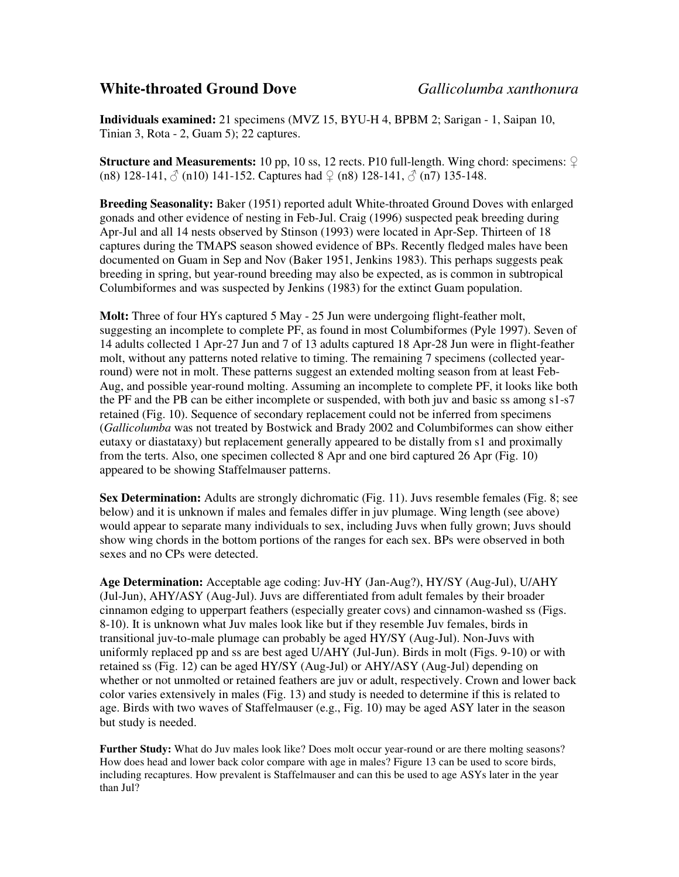### **White-throated Ground Dove** *Gallicolumba xanthonura*

**Individuals examined:** 21 specimens (MVZ 15, BYU-H 4, BPBM 2; Sarigan - 1, Saipan 10, Tinian 3, Rota - 2, Guam 5); 22 captures.

**Structure and Measurements:** 10 pp, 10 ss, 12 rects. P10 full-length. Wing chord: specimens: ♀ (n8) 128-141,  $\circled{}$  (n10) 141-152. Captures had  $\circled{}$  (n8) 128-141,  $\circled{}$  (n7) 135-148.

**Breeding Seasonality:** Baker (1951) reported adult White-throated Ground Doves with enlarged gonads and other evidence of nesting in Feb-Jul. Craig (1996) suspected peak breeding during Apr-Jul and all 14 nests observed by Stinson (1993) were located in Apr-Sep. Thirteen of 18 captures during the TMAPS season showed evidence of BPs. Recently fledged males have been documented on Guam in Sep and Nov (Baker 1951, Jenkins 1983). This perhaps suggests peak breeding in spring, but year-round breeding may also be expected, as is common in subtropical Columbiformes and was suspected by Jenkins (1983) for the extinct Guam population.

**Molt:** Three of four HYs captured 5 May - 25 Jun were undergoing flight-feather molt, suggesting an incomplete to complete PF, as found in most Columbiformes (Pyle 1997). Seven of 14 adults collected 1 Apr-27 Jun and 7 of 13 adults captured 18 Apr-28 Jun were in flight-feather molt, without any patterns noted relative to timing. The remaining 7 specimens (collected yearround) were not in molt. These patterns suggest an extended molting season from at least Feb-Aug, and possible year-round molting. Assuming an incomplete to complete PF, it looks like both the PF and the PB can be either incomplete or suspended, with both juv and basic ss among s1-s7 retained (Fig. 10). Sequence of secondary replacement could not be inferred from specimens (*Gallicolumba* was not treated by Bostwick and Brady 2002 and Columbiformes can show either eutaxy or diastataxy) but replacement generally appeared to be distally from s1 and proximally from the terts. Also, one specimen collected 8 Apr and one bird captured 26 Apr (Fig. 10) appeared to be showing Staffelmauser patterns.

**Sex Determination:** Adults are strongly dichromatic (Fig. 11). Juvs resemble females (Fig. 8; see below) and it is unknown if males and females differ in juv plumage. Wing length (see above) would appear to separate many individuals to sex, including Juvs when fully grown; Juvs should show wing chords in the bottom portions of the ranges for each sex. BPs were observed in both sexes and no CPs were detected.

**Age Determination:** Acceptable age coding: Juv-HY (Jan-Aug?), HY/SY (Aug-Jul), U/AHY (Jul-Jun), AHY/ASY (Aug-Jul). Juvs are differentiated from adult females by their broader cinnamon edging to upperpart feathers (especially greater covs) and cinnamon-washed ss (Figs. 8-10). It is unknown what Juv males look like but if they resemble Juv females, birds in transitional juv-to-male plumage can probably be aged HY/SY (Aug-Jul). Non-Juvs with uniformly replaced pp and ss are best aged U/AHY (Jul-Jun). Birds in molt (Figs. 9-10) or with retained ss (Fig. 12) can be aged HY/SY (Aug-Jul) or AHY/ASY (Aug-Jul) depending on whether or not unmolted or retained feathers are juv or adult, respectively. Crown and lower back color varies extensively in males (Fig. 13) and study is needed to determine if this is related to age. Birds with two waves of Staffelmauser (e.g., Fig. 10) may be aged ASY later in the season but study is needed.

**Further Study:** What do Juv males look like? Does molt occur year-round or are there molting seasons? How does head and lower back color compare with age in males? Figure 13 can be used to score birds, including recaptures. How prevalent is Staffelmauser and can this be used to age ASYs later in the year than Jul?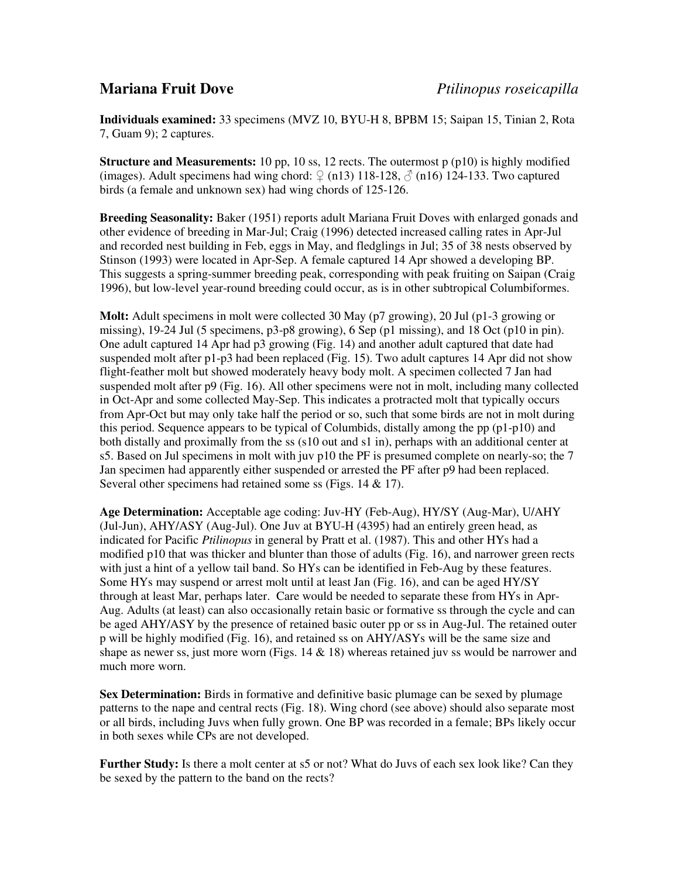**Individuals examined:** 33 specimens (MVZ 10, BYU-H 8, BPBM 15; Saipan 15, Tinian 2, Rota 7, Guam 9); 2 captures.

**Structure and Measurements:** 10 pp, 10 ss, 12 rects. The outermost p (p10) is highly modified (images). Adult specimens had wing chord:  $\Omega$  (n13) 118-128,  $\delta$  (n16) 124-133. Two captured birds (a female and unknown sex) had wing chords of 125-126.

**Breeding Seasonality:** Baker (1951) reports adult Mariana Fruit Doves with enlarged gonads and other evidence of breeding in Mar-Jul; Craig (1996) detected increased calling rates in Apr-Jul and recorded nest building in Feb, eggs in May, and fledglings in Jul; 35 of 38 nests observed by Stinson (1993) were located in Apr-Sep. A female captured 14 Apr showed a developing BP. This suggests a spring-summer breeding peak, corresponding with peak fruiting on Saipan (Craig 1996), but low-level year-round breeding could occur, as is in other subtropical Columbiformes.

**Molt:** Adult specimens in molt were collected 30 May (p7 growing), 20 Jul (p1-3 growing or missing), 19-24 Jul (5 specimens, p3-p8 growing), 6 Sep (p1 missing), and 18 Oct (p10 in pin). One adult captured 14 Apr had p3 growing (Fig. 14) and another adult captured that date had suspended molt after p1-p3 had been replaced (Fig. 15). Two adult captures 14 Apr did not show flight-feather molt but showed moderately heavy body molt. A specimen collected 7 Jan had suspended molt after p9 (Fig. 16). All other specimens were not in molt, including many collected in Oct-Apr and some collected May-Sep. This indicates a protracted molt that typically occurs from Apr-Oct but may only take half the period or so, such that some birds are not in molt during this period. Sequence appears to be typical of Columbids, distally among the pp  $(p1-p10)$  and both distally and proximally from the ss (s10 out and s1 in), perhaps with an additional center at s5. Based on Jul specimens in molt with juv p10 the PF is presumed complete on nearly-so; the 7 Jan specimen had apparently either suspended or arrested the PF after p9 had been replaced. Several other specimens had retained some ss (Figs. 14 & 17).

**Age Determination:** Acceptable age coding: Juv-HY (Feb-Aug), HY/SY (Aug-Mar), U/AHY (Jul-Jun), AHY/ASY (Aug-Jul). One Juv at BYU-H (4395) had an entirely green head, as indicated for Pacific *Ptilinopus* in general by Pratt et al. (1987). This and other HYs had a modified p10 that was thicker and blunter than those of adults (Fig. 16), and narrower green rects with just a hint of a yellow tail band. So HYs can be identified in Feb-Aug by these features. Some HYs may suspend or arrest molt until at least Jan (Fig. 16), and can be aged HY/SY through at least Mar, perhaps later. Care would be needed to separate these from HYs in Apr-Aug. Adults (at least) can also occasionally retain basic or formative ss through the cycle and can be aged AHY/ASY by the presence of retained basic outer pp or ss in Aug-Jul. The retained outer p will be highly modified (Fig. 16), and retained ss on AHY/ASYs will be the same size and shape as newer ss, just more worn (Figs.  $14 \& 18$ ) whereas retained juv ss would be narrower and much more worn.

**Sex Determination:** Birds in formative and definitive basic plumage can be sexed by plumage patterns to the nape and central rects (Fig. 18). Wing chord (see above) should also separate most or all birds, including Juvs when fully grown. One BP was recorded in a female; BPs likely occur in both sexes while CPs are not developed.

**Further Study:** Is there a molt center at s5 or not? What do Juvs of each sex look like? Can they be sexed by the pattern to the band on the rects?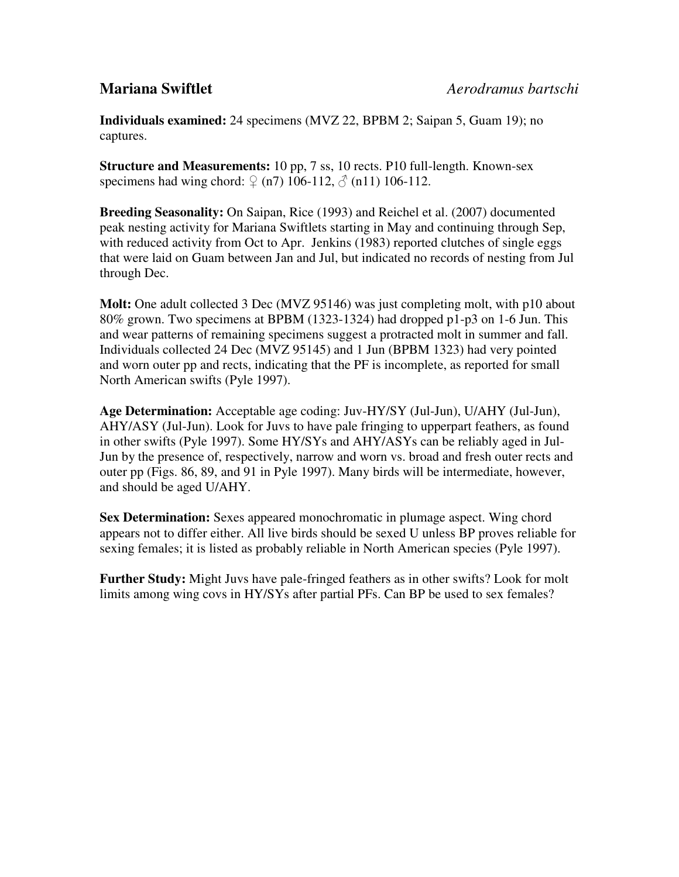**Individuals examined:** 24 specimens (MVZ 22, BPBM 2; Saipan 5, Guam 19); no captures.

**Structure and Measurements:** 10 pp, 7 ss, 10 rects. P10 full-length. Known-sex specimens had wing chord:  $\mathcal{Q}$  (n7) 106-112,  $\mathcal{A}$  (n11) 106-112.

**Breeding Seasonality:** On Saipan, Rice (1993) and Reichel et al. (2007) documented peak nesting activity for Mariana Swiftlets starting in May and continuing through Sep, with reduced activity from Oct to Apr. Jenkins (1983) reported clutches of single eggs that were laid on Guam between Jan and Jul, but indicated no records of nesting from Jul through Dec.

**Molt:** One adult collected 3 Dec (MVZ 95146) was just completing molt, with p10 about 80% grown. Two specimens at BPBM (1323-1324) had dropped p1-p3 on 1-6 Jun. This and wear patterns of remaining specimens suggest a protracted molt in summer and fall. Individuals collected 24 Dec (MVZ 95145) and 1 Jun (BPBM 1323) had very pointed and worn outer pp and rects, indicating that the PF is incomplete, as reported for small North American swifts (Pyle 1997).

**Age Determination:** Acceptable age coding: Juv-HY/SY (Jul-Jun), U/AHY (Jul-Jun), AHY/ASY (Jul-Jun). Look for Juvs to have pale fringing to upperpart feathers, as found in other swifts (Pyle 1997). Some HY/SYs and AHY/ASYs can be reliably aged in Jul-Jun by the presence of, respectively, narrow and worn vs. broad and fresh outer rects and outer pp (Figs. 86, 89, and 91 in Pyle 1997). Many birds will be intermediate, however, and should be aged U/AHY.

**Sex Determination:** Sexes appeared monochromatic in plumage aspect. Wing chord appears not to differ either. All live birds should be sexed U unless BP proves reliable for sexing females; it is listed as probably reliable in North American species (Pyle 1997).

**Further Study:** Might Juvs have pale-fringed feathers as in other swifts? Look for molt limits among wing covs in HY/SYs after partial PFs. Can BP be used to sex females?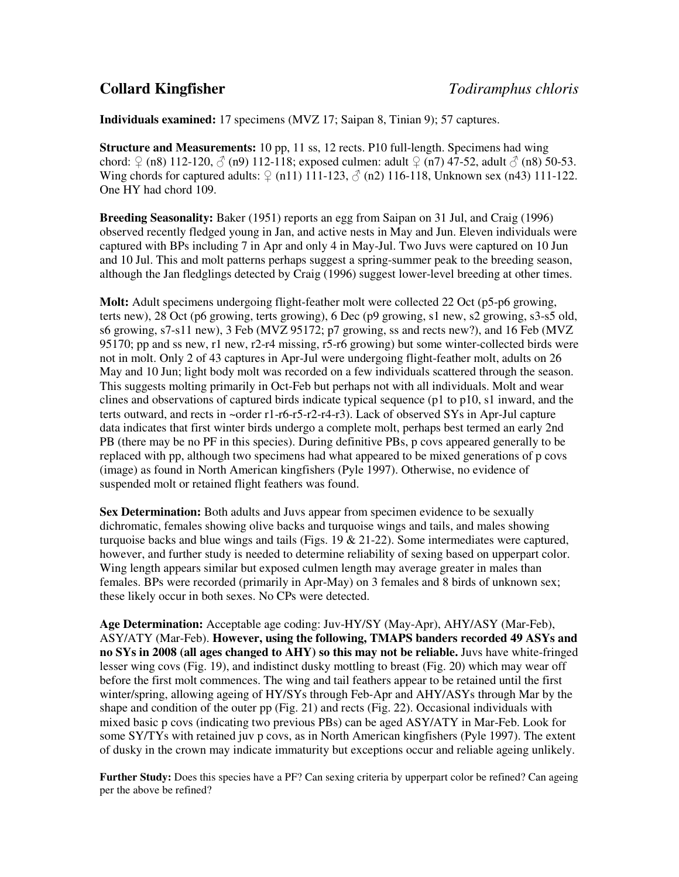### **Individuals examined:** 17 specimens (MVZ 17; Saipan 8, Tinian 9); 57 captures.

**Structure and Measurements:** 10 pp, 11 ss, 12 rects. P10 full-length. Specimens had wing chord:  $\varphi$  (n8) 112-120,  $\varphi$  (n9) 112-118; exposed culmen: adult  $\varphi$  (n7) 47-52, adult  $\varphi$  (n8) 50-53. Wing chords for captured adults:  $\varphi$  (n11) 111-123,  $\varphi$  (n2) 116-118, Unknown sex (n43) 111-122. One HY had chord 109.

**Breeding Seasonality:** Baker (1951) reports an egg from Saipan on 31 Jul, and Craig (1996) observed recently fledged young in Jan, and active nests in May and Jun. Eleven individuals were captured with BPs including 7 in Apr and only 4 in May-Jul. Two Juvs were captured on 10 Jun and 10 Jul. This and molt patterns perhaps suggest a spring-summer peak to the breeding season, although the Jan fledglings detected by Craig (1996) suggest lower-level breeding at other times.

**Molt:** Adult specimens undergoing flight-feather molt were collected 22 Oct (p5-p6 growing, terts new), 28 Oct (p6 growing, terts growing), 6 Dec (p9 growing, s1 new, s2 growing, s3-s5 old, s6 growing, s7-s11 new), 3 Feb (MVZ 95172; p7 growing, ss and rects new?), and 16 Feb (MVZ 95170; pp and ss new, r1 new, r2-r4 missing, r5-r6 growing) but some winter-collected birds were not in molt. Only 2 of 43 captures in Apr-Jul were undergoing flight-feather molt, adults on 26 May and 10 Jun; light body molt was recorded on a few individuals scattered through the season. This suggests molting primarily in Oct-Feb but perhaps not with all individuals. Molt and wear clines and observations of captured birds indicate typical sequence (p1 to p10, s1 inward, and the terts outward, and rects in ~order r1-r6-r5-r2-r4-r3). Lack of observed SYs in Apr-Jul capture data indicates that first winter birds undergo a complete molt, perhaps best termed an early 2nd PB (there may be no PF in this species). During definitive PBs, p covs appeared generally to be replaced with pp, although two specimens had what appeared to be mixed generations of p covs (image) as found in North American kingfishers (Pyle 1997). Otherwise, no evidence of suspended molt or retained flight feathers was found.

**Sex Determination:** Both adults and Juvs appear from specimen evidence to be sexually dichromatic, females showing olive backs and turquoise wings and tails, and males showing turquoise backs and blue wings and tails (Figs.  $19 \& 21-22$ ). Some intermediates were captured, however, and further study is needed to determine reliability of sexing based on upperpart color. Wing length appears similar but exposed culmen length may average greater in males than females. BPs were recorded (primarily in Apr-May) on 3 females and 8 birds of unknown sex; these likely occur in both sexes. No CPs were detected.

**Age Determination:** Acceptable age coding: Juv-HY/SY (May-Apr), AHY/ASY (Mar-Feb), ASY/ATY (Mar-Feb). **However, using the following, TMAPS banders recorded 49 ASYs and no SYs in 2008 (all ages changed to AHY) so this may not be reliable.** Juvs have white-fringed lesser wing covs (Fig. 19), and indistinct dusky mottling to breast (Fig. 20) which may wear off before the first molt commences. The wing and tail feathers appear to be retained until the first winter/spring, allowing ageing of HY/SYs through Feb-Apr and AHY/ASYs through Mar by the shape and condition of the outer pp (Fig. 21) and rects (Fig. 22). Occasional individuals with mixed basic p covs (indicating two previous PBs) can be aged ASY/ATY in Mar-Feb. Look for some SY/TYs with retained juv p covs, as in North American kingfishers (Pyle 1997). The extent of dusky in the crown may indicate immaturity but exceptions occur and reliable ageing unlikely.

**Further Study:** Does this species have a PF? Can sexing criteria by upperpart color be refined? Can ageing per the above be refined?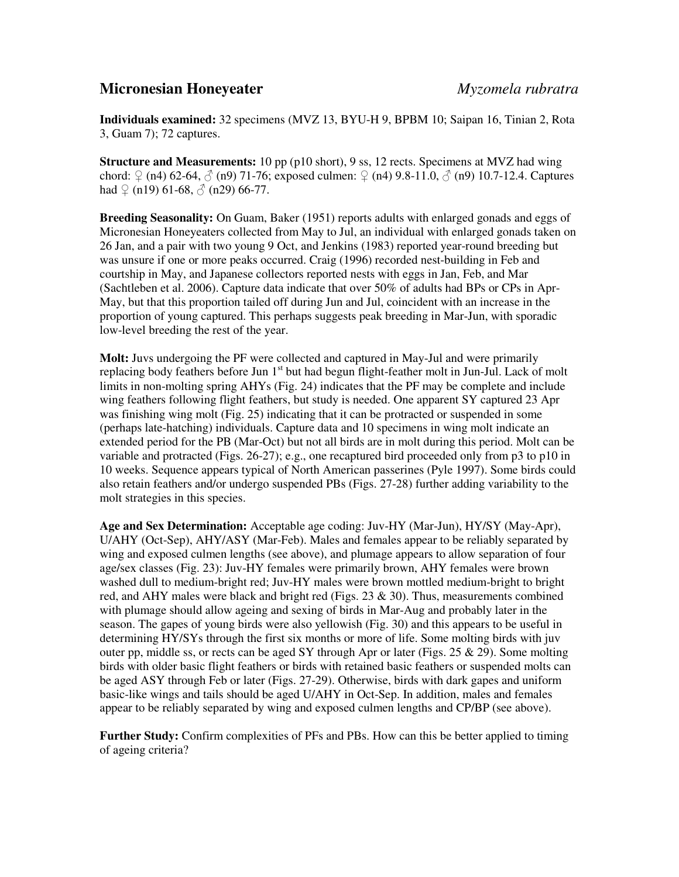### **Micronesian Honeyeater** *Myzomela rubratra*

**Individuals examined:** 32 specimens (MVZ 13, BYU-H 9, BPBM 10; Saipan 16, Tinian 2, Rota 3, Guam 7); 72 captures.

**Structure and Measurements:** 10 pp (p10 short), 9 ss, 12 rects. Specimens at MVZ had wing chord:  $\varphi$  (n4) 62-64,  $\varphi$  (n9) 71-76; exposed culmen:  $\varphi$  (n4) 9.8-11.0,  $\varphi$  (n9) 10.7-12.4. Captures had  $\Omega$  (n19) 61-68,  $\delta$  (n29) 66-77.

**Breeding Seasonality:** On Guam, Baker (1951) reports adults with enlarged gonads and eggs of Micronesian Honeyeaters collected from May to Jul, an individual with enlarged gonads taken on 26 Jan, and a pair with two young 9 Oct, and Jenkins (1983) reported year-round breeding but was unsure if one or more peaks occurred. Craig (1996) recorded nest-building in Feb and courtship in May, and Japanese collectors reported nests with eggs in Jan, Feb, and Mar (Sachtleben et al. 2006). Capture data indicate that over 50% of adults had BPs or CPs in Apr-May, but that this proportion tailed off during Jun and Jul, coincident with an increase in the proportion of young captured. This perhaps suggests peak breeding in Mar-Jun, with sporadic low-level breeding the rest of the year.

**Molt:** Juvs undergoing the PF were collected and captured in May-Jul and were primarily replacing body feathers before Jun 1<sup>st</sup> but had begun flight-feather molt in Jun-Jul. Lack of molt limits in non-molting spring AHYs (Fig. 24) indicates that the PF may be complete and include wing feathers following flight feathers, but study is needed. One apparent SY captured 23 Apr was finishing wing molt (Fig. 25) indicating that it can be protracted or suspended in some (perhaps late-hatching) individuals. Capture data and 10 specimens in wing molt indicate an extended period for the PB (Mar-Oct) but not all birds are in molt during this period. Molt can be variable and protracted (Figs. 26-27); e.g., one recaptured bird proceeded only from p3 to p10 in 10 weeks. Sequence appears typical of North American passerines (Pyle 1997). Some birds could also retain feathers and/or undergo suspended PBs (Figs. 27-28) further adding variability to the molt strategies in this species.

**Age and Sex Determination:** Acceptable age coding: Juv-HY (Mar-Jun), HY/SY (May-Apr), U/AHY (Oct-Sep), AHY/ASY (Mar-Feb). Males and females appear to be reliably separated by wing and exposed culmen lengths (see above), and plumage appears to allow separation of four age/sex classes (Fig. 23): Juv-HY females were primarily brown, AHY females were brown washed dull to medium-bright red; Juv-HY males were brown mottled medium-bright to bright red, and AHY males were black and bright red (Figs.  $23 \& 30$ ). Thus, measurements combined with plumage should allow ageing and sexing of birds in Mar-Aug and probably later in the season. The gapes of young birds were also yellowish (Fig. 30) and this appears to be useful in determining HY/SYs through the first six months or more of life. Some molting birds with juv outer pp, middle ss, or rects can be aged SY through Apr or later (Figs. 25  $\&$  29). Some molting birds with older basic flight feathers or birds with retained basic feathers or suspended molts can be aged ASY through Feb or later (Figs. 27-29). Otherwise, birds with dark gapes and uniform basic-like wings and tails should be aged U/AHY in Oct-Sep. In addition, males and females appear to be reliably separated by wing and exposed culmen lengths and CP/BP (see above).

**Further Study:** Confirm complexities of PFs and PBs. How can this be better applied to timing of ageing criteria?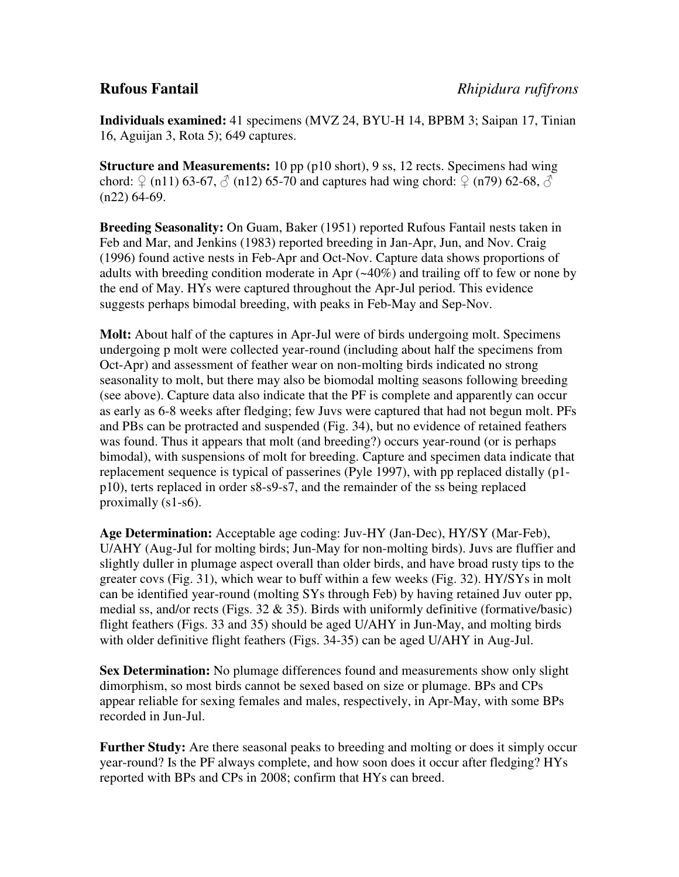**Individuals examined:** 41 specimens (MVZ 24, BYU-H 14, BPBM 3; Saipan 17, Tinian 16, Aguijan 3, Rota 5); 649 captures.

**Structure and Measurements:** 10 pp (p10 short), 9 ss, 12 rects. Specimens had wing chord:  $\varphi$  (n11) 63-67,  $\varphi$  (n12) 65-70 and captures had wing chord:  $\varphi$  (n79) 62-68,  $\varphi$  $(n22)$  64-69.

**Breeding Seasonality:** On Guam, Baker (1951) reported Rufous Fantail nests taken in Feb and Mar, and Jenkins (1983) reported breeding in Jan-Apr, Jun, and Nov. Craig (1996) found active nests in Feb-Apr and Oct-Nov. Capture data shows proportions of adults with breeding condition moderate in Apr (~40%) and trailing off to few or none by the end of May. HYs were captured throughout the Apr-Jul period. This evidence suggests perhaps bimodal breeding, with peaks in Feb-May and Sep-Nov.

**Molt:** About half of the captures in Apr-Jul were of birds undergoing molt. Specimens undergoing p molt were collected year-round (including about half the specimens from Oct-Apr) and assessment of feather wear on non-molting birds indicated no strong seasonality to molt, but there may also be biomodal molting seasons following breeding (see above). Capture data also indicate that the PF is complete and apparently can occur as early as 6-8 weeks after fledging; few Juvs were captured that had not begun molt. PFs and PBs can be protracted and suspended (Fig. 34), but no evidence of retained feathers was found. Thus it appears that molt (and breeding?) occurs year-round (or is perhaps bimodal), with suspensions of molt for breeding. Capture and specimen data indicate that replacement sequence is typical of passerines (Pyle 1997), with pp replaced distally (p1 p10), terts replaced in order s8-s9-s7, and the remainder of the ss being replaced proximally (s1-s6).

**Age Determination:** Acceptable age coding: Juv-HY (Jan-Dec), HY/SY (Mar-Feb), U/AHY (Aug-Jul for molting birds; Jun-May for non-molting birds). Juvs are fluffier and slightly duller in plumage aspect overall than older birds, and have broad rusty tips to the greater covs (Fig. 31), which wear to buff within a few weeks (Fig. 32). HY/SYs in molt can be identified year-round (molting SYs through Feb) by having retained Juv outer pp, medial ss, and/or rects (Figs.  $32 \& 35$ ). Birds with uniformly definitive (formative/basic) flight feathers (Figs. 33 and 35) should be aged U/AHY in Jun-May, and molting birds with older definitive flight feathers (Figs. 34-35) can be aged U/AHY in Aug-Jul.

**Sex Determination:** No plumage differences found and measurements show only slight dimorphism, so most birds cannot be sexed based on size or plumage. BPs and CPs appear reliable for sexing females and males, respectively, in Apr-May, with some BPs recorded in Jun-Jul.

**Further Study:** Are there seasonal peaks to breeding and molting or does it simply occur year-round? Is the PF always complete, and how soon does it occur after fledging? HYs reported with BPs and CPs in 2008; confirm that HYs can breed.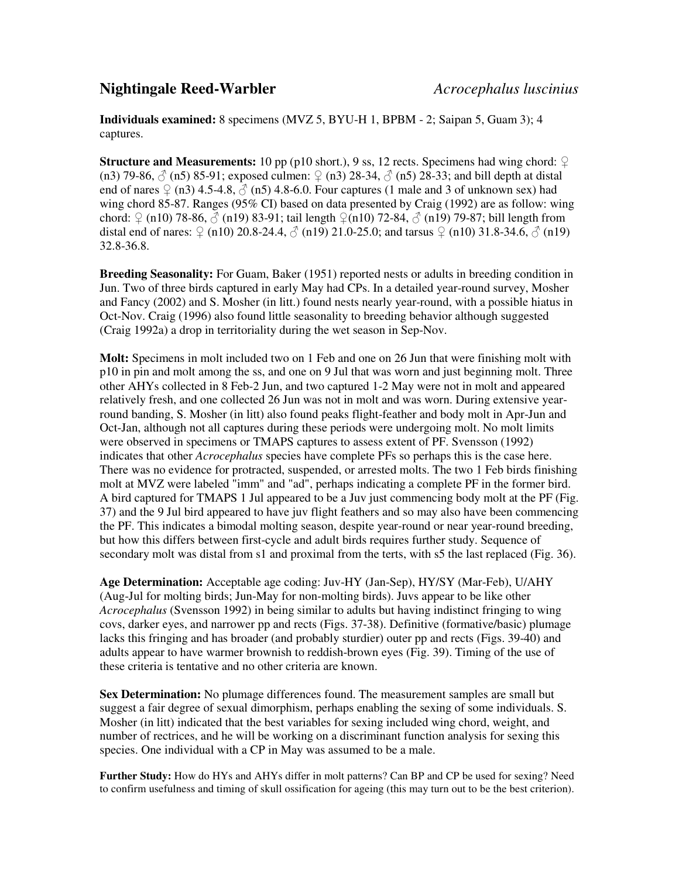### **Nightingale Reed-Warbler** *Acrocephalus luscinius*

**Individuals examined:** 8 specimens (MVZ 5, BYU-H 1, BPBM - 2; Saipan 5, Guam 3); 4 captures.

**Structure and Measurements:** 10 pp (p10 short.), 9 ss, 12 rects. Specimens had wing chord:  $\varphi$ (n3) 79-86,  $\circled{}$  (n5) 85-91; exposed culmen:  $\circled{}$  (n3) 28-34,  $\circled{}$  (n5) 28-33; and bill depth at distal end of nares  $\Omega$  (n3) 4.5-4.8,  $\delta$  (n5) 4.8-6.0. Four captures (1 male and 3 of unknown sex) had wing chord 85-87. Ranges (95% CI) based on data presented by Craig (1992) are as follow: wing chord:  $\varphi$  (n10) 78-86,  $\varphi$  (n19) 83-91; tail length  $\varphi$ (n10) 72-84,  $\varphi$  (n19) 79-87; bill length from distal end of nares:  $\frac{6}{2}$  (n10) 20.8-24.4,  $\frac{3}{2}$  (n19) 21.0-25.0; and tarsus  $\frac{6}{2}$  (n10) 31.8-34.6,  $\frac{3}{2}$  (n19) 32.8-36.8.

**Breeding Seasonality:** For Guam, Baker (1951) reported nests or adults in breeding condition in Jun. Two of three birds captured in early May had CPs. In a detailed year-round survey, Mosher and Fancy (2002) and S. Mosher (in litt.) found nests nearly year-round, with a possible hiatus in Oct-Nov. Craig (1996) also found little seasonality to breeding behavior although suggested (Craig 1992a) a drop in territoriality during the wet season in Sep-Nov.

**Molt:** Specimens in molt included two on 1 Feb and one on 26 Jun that were finishing molt with p10 in pin and molt among the ss, and one on 9 Jul that was worn and just beginning molt. Three other AHYs collected in 8 Feb-2 Jun, and two captured 1-2 May were not in molt and appeared relatively fresh, and one collected 26 Jun was not in molt and was worn. During extensive yearround banding, S. Mosher (in litt) also found peaks flight-feather and body molt in Apr-Jun and Oct-Jan, although not all captures during these periods were undergoing molt. No molt limits were observed in specimens or TMAPS captures to assess extent of PF. Svensson (1992) indicates that other *Acrocephalus* species have complete PFs so perhaps this is the case here. There was no evidence for protracted, suspended, or arrested molts. The two 1 Feb birds finishing molt at MVZ were labeled "imm" and "ad", perhaps indicating a complete PF in the former bird. A bird captured for TMAPS 1 Jul appeared to be a Juv just commencing body molt at the PF (Fig. 37) and the 9 Jul bird appeared to have juv flight feathers and so may also have been commencing the PF. This indicates a bimodal molting season, despite year-round or near year-round breeding, but how this differs between first-cycle and adult birds requires further study. Sequence of secondary molt was distal from s1 and proximal from the terts, with s5 the last replaced (Fig. 36).

**Age Determination:** Acceptable age coding: Juv-HY (Jan-Sep), HY/SY (Mar-Feb), U/AHY (Aug-Jul for molting birds; Jun-May for non-molting birds). Juvs appear to be like other *Acrocephalus* (Svensson 1992) in being similar to adults but having indistinct fringing to wing covs, darker eyes, and narrower pp and rects (Figs. 37-38). Definitive (formative/basic) plumage lacks this fringing and has broader (and probably sturdier) outer pp and rects (Figs. 39-40) and adults appear to have warmer brownish to reddish-brown eyes (Fig. 39). Timing of the use of these criteria is tentative and no other criteria are known.

**Sex Determination:** No plumage differences found. The measurement samples are small but suggest a fair degree of sexual dimorphism, perhaps enabling the sexing of some individuals. S. Mosher (in litt) indicated that the best variables for sexing included wing chord, weight, and number of rectrices, and he will be working on a discriminant function analysis for sexing this species. One individual with a CP in May was assumed to be a male.

**Further Study:** How do HYs and AHYs differ in molt patterns? Can BP and CP be used for sexing? Need to confirm usefulness and timing of skull ossification for ageing (this may turn out to be the best criterion).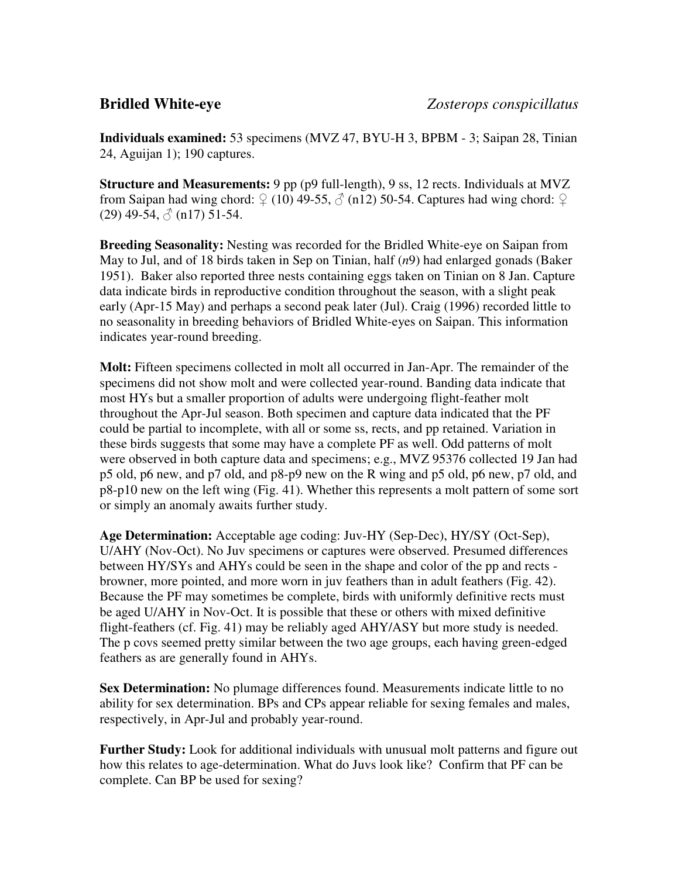**Individuals examined:** 53 specimens (MVZ 47, BYU-H 3, BPBM - 3; Saipan 28, Tinian 24, Aguijan 1); 190 captures.

**Structure and Measurements:** 9 pp (p9 full-length), 9 ss, 12 rects. Individuals at MVZ from Saipan had wing chord:  $\varphi$  (10) 49-55,  $\varphi$  (n12) 50-54. Captures had wing chord:  $\varphi$  $(29)$  49-54,  $\stackrel{\triangle}{\circ}$  (n17) 51-54.

**Breeding Seasonality:** Nesting was recorded for the Bridled White-eye on Saipan from May to Jul, and of 18 birds taken in Sep on Tinian, half (*n*9) had enlarged gonads (Baker 1951). Baker also reported three nests containing eggs taken on Tinian on 8 Jan. Capture data indicate birds in reproductive condition throughout the season, with a slight peak early (Apr-15 May) and perhaps a second peak later (Jul). Craig (1996) recorded little to no seasonality in breeding behaviors of Bridled White-eyes on Saipan. This information indicates year-round breeding.

**Molt:** Fifteen specimens collected in molt all occurred in Jan-Apr. The remainder of the specimens did not show molt and were collected year-round. Banding data indicate that most HYs but a smaller proportion of adults were undergoing flight-feather molt throughout the Apr-Jul season. Both specimen and capture data indicated that the PF could be partial to incomplete, with all or some ss, rects, and pp retained. Variation in these birds suggests that some may have a complete PF as well. Odd patterns of molt were observed in both capture data and specimens; e.g., MVZ 95376 collected 19 Jan had p5 old, p6 new, and p7 old, and p8-p9 new on the R wing and p5 old, p6 new, p7 old, and p8-p10 new on the left wing (Fig. 41). Whether this represents a molt pattern of some sort or simply an anomaly awaits further study.

**Age Determination:** Acceptable age coding: Juv-HY (Sep-Dec), HY/SY (Oct-Sep), U/AHY (Nov-Oct). No Juv specimens or captures were observed. Presumed differences between HY/SYs and AHYs could be seen in the shape and color of the pp and rects browner, more pointed, and more worn in juv feathers than in adult feathers (Fig. 42). Because the PF may sometimes be complete, birds with uniformly definitive rects must be aged U/AHY in Nov-Oct. It is possible that these or others with mixed definitive flight-feathers (cf. Fig. 41) may be reliably aged AHY/ASY but more study is needed. The p covs seemed pretty similar between the two age groups, each having green-edged feathers as are generally found in AHYs.

**Sex Determination:** No plumage differences found. Measurements indicate little to no ability for sex determination. BPs and CPs appear reliable for sexing females and males, respectively, in Apr-Jul and probably year-round.

**Further Study:** Look for additional individuals with unusual molt patterns and figure out how this relates to age-determination. What do Juvs look like? Confirm that PF can be complete. Can BP be used for sexing?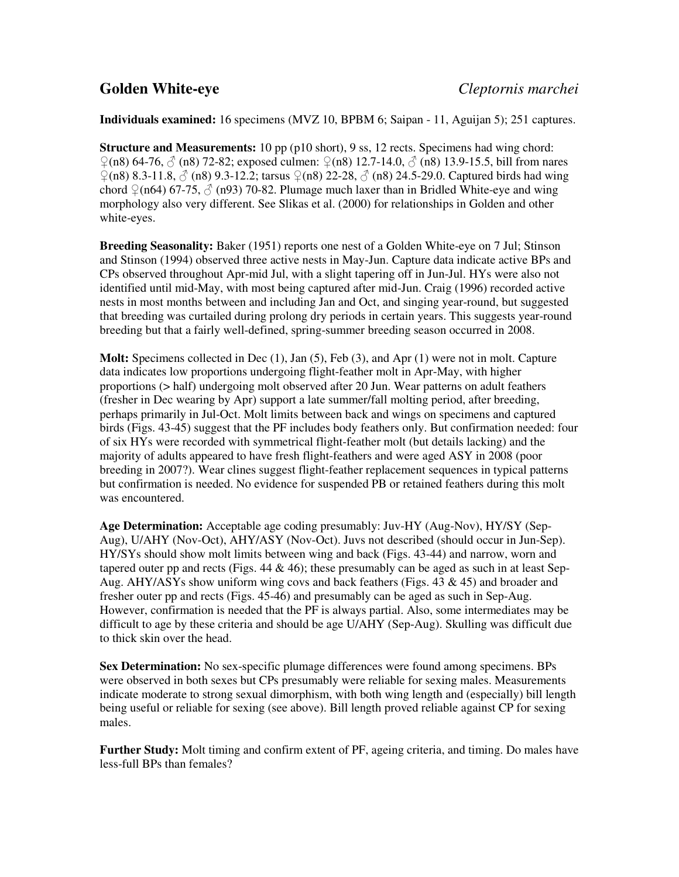### **Individuals examined:** 16 specimens (MVZ 10, BPBM 6; Saipan - 11, Aguijan 5); 251 captures.

**Structure and Measurements:** 10 pp (p10 short), 9 ss, 12 rects. Specimens had wing chord: ♀(n8) 64-76, ♂ (n8) 72-82; exposed culmen: ♀(n8) 12.7-14.0, ♂ (n8) 13.9-15.5, bill from nares  $\frac{\gamma(n8)}{8.3-11.8}$ ,  $\frac{\gamma(n8)}{9.3-12.2}$ ; tarsus  $\frac{\gamma(n8)}{22-28}$ ,  $\frac{\gamma(n8)}{24.5-29.0}$ . Captured birds had wing chord  $\Im$  (n64) 67-75,  $\Im$  (n93) 70-82. Plumage much laxer than in Bridled White-eye and wing morphology also very different. See Slikas et al. (2000) for relationships in Golden and other white-eyes.

**Breeding Seasonality:** Baker (1951) reports one nest of a Golden White-eye on 7 Jul; Stinson and Stinson (1994) observed three active nests in May-Jun. Capture data indicate active BPs and CPs observed throughout Apr-mid Jul, with a slight tapering off in Jun-Jul. HYs were also not identified until mid-May, with most being captured after mid-Jun. Craig (1996) recorded active nests in most months between and including Jan and Oct, and singing year-round, but suggested that breeding was curtailed during prolong dry periods in certain years. This suggests year-round breeding but that a fairly well-defined, spring-summer breeding season occurred in 2008.

**Molt:** Specimens collected in Dec (1), Jan (5), Feb (3), and Apr (1) were not in molt. Capture data indicates low proportions undergoing flight-feather molt in Apr-May, with higher proportions (> half) undergoing molt observed after 20 Jun. Wear patterns on adult feathers (fresher in Dec wearing by Apr) support a late summer/fall molting period, after breeding, perhaps primarily in Jul-Oct. Molt limits between back and wings on specimens and captured birds (Figs. 43-45) suggest that the PF includes body feathers only. But confirmation needed: four of six HYs were recorded with symmetrical flight-feather molt (but details lacking) and the majority of adults appeared to have fresh flight-feathers and were aged ASY in 2008 (poor breeding in 2007?). Wear clines suggest flight-feather replacement sequences in typical patterns but confirmation is needed. No evidence for suspended PB or retained feathers during this molt was encountered.

**Age Determination:** Acceptable age coding presumably: Juv-HY (Aug-Nov), HY/SY (Sep-Aug), U/AHY (Nov-Oct), AHY/ASY (Nov-Oct). Juvs not described (should occur in Jun-Sep). HY/SYs should show molt limits between wing and back (Figs. 43-44) and narrow, worn and tapered outer pp and rects (Figs.  $44 \& 46$ ); these presumably can be aged as such in at least Sep-Aug.  $AHY/ASYs$  show uniform wing covs and back feathers (Figs. 43  $\&$  45) and broader and fresher outer pp and rects (Figs. 45-46) and presumably can be aged as such in Sep-Aug. However, confirmation is needed that the PF is always partial. Also, some intermediates may be difficult to age by these criteria and should be age U/AHY (Sep-Aug). Skulling was difficult due to thick skin over the head.

**Sex Determination:** No sex-specific plumage differences were found among specimens. BPs were observed in both sexes but CPs presumably were reliable for sexing males. Measurements indicate moderate to strong sexual dimorphism, with both wing length and (especially) bill length being useful or reliable for sexing (see above). Bill length proved reliable against CP for sexing males.

**Further Study:** Molt timing and confirm extent of PF, ageing criteria, and timing. Do males have less-full BPs than females?